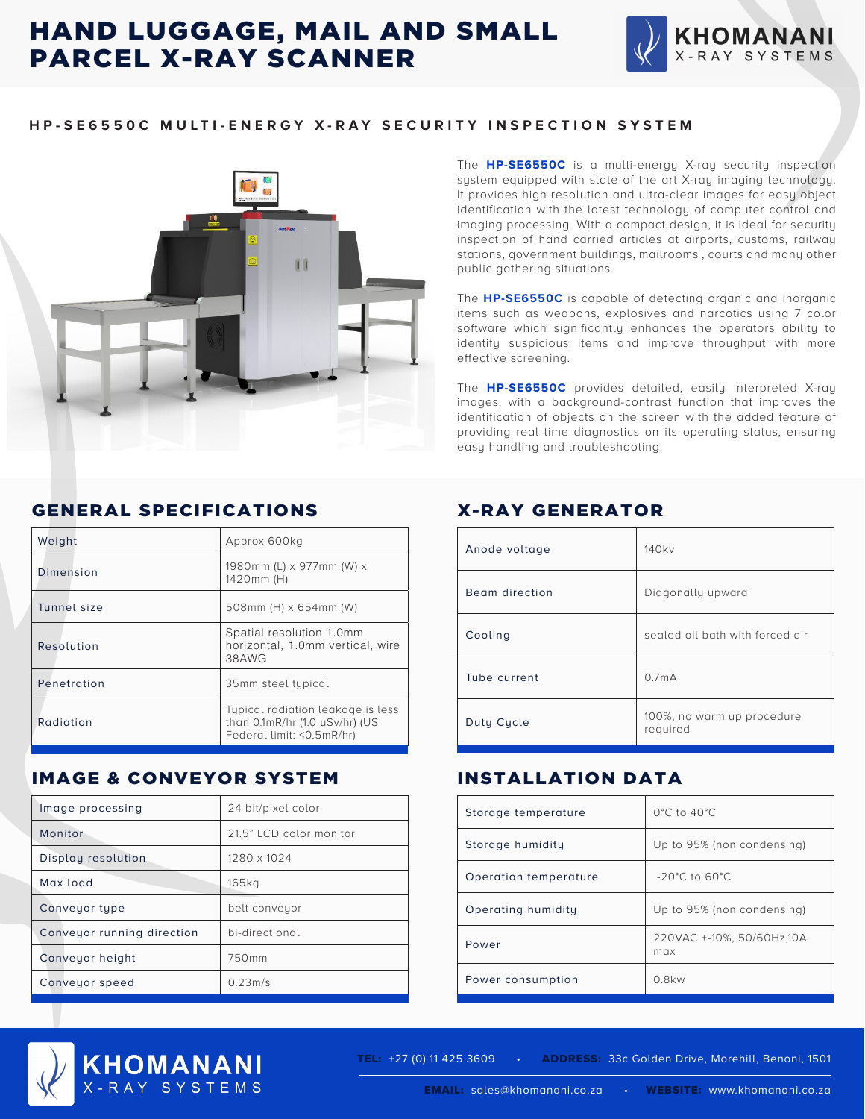# HAND LUGGAGE, MAIL AND SMALL PARCEL X-RAY SCANNER



#### **HP-SE6550C MULTI-ENERGY X-RAY SECURITY INSPECTION SYSTEM**



### GENERAL SPECIFICATIONS

| Weight      | Approx 600kg                                                                                      |
|-------------|---------------------------------------------------------------------------------------------------|
| Dimension   | 1980mm (L) x 977mm (W) x<br>1420mm (H)                                                            |
| Tunnel size | 508mm (H) x 654mm (W)                                                                             |
| Resolution  | Spatial resolution 1.0mm<br>horizontal, 1.0mm vertical, wire<br>38AWG                             |
| Penetration | 35mm steel typical                                                                                |
| Radiation   | Typical radiation leakage is less<br>than 0.1mR/hr (1.0 uSv/hr) (US<br>Federal limit: < 0.5mR/hr) |

#### IMAGE & CONVEYOR SYSTEM

| Image processing           | 24 bit/pixel color      |
|----------------------------|-------------------------|
| Monitor                    | 21.5" LCD color monitor |
| Display resolution         | 1280 x 1024             |
| Max load                   | 165kg                   |
| Conveyor type              | belt conveyor           |
| Conveyor running direction | bi-directional          |
| Conveyor height            | 750mm                   |
| Conveyor speed             | $0.23 \, \text{m/s}$    |

The **HP-SE6550C** is a multi-energy X-ray security inspection system equipped with state of the art X-ray imaging technology. It provides high resolution and ultra-clear images for easy object identification with the latest technology of computer control and imaging processing. With a compact design, it is ideal for security inspection of hand carried articles at airports, customs, railway stations, government buildings, mailrooms , courts and many other public gathering situations.

The **HP-SE6550C** is capable of detecting organic and inorganic items such as weapons, explosives and narcotics using 7 color software which significantly enhances the operators ability to identify suspicious items and improve throughput with more effective screening.

The **HP-SE6550C** provides detailed, easily interpreted X-ray images, with a background-contrast function that improves the identification of objects on the screen with the added feature of providing real time diagnostics on its operating status, ensuring easy handling and troubleshooting.

# X-RAY GENERATOR

| Anode voltage  | 140kv                                  |
|----------------|----------------------------------------|
| Beam direction | Diagonally upward                      |
| Cooling        | sealed oil bath with forced air        |
| Tube current   | 0.7mA                                  |
| Duty Cycle     | 100%, no warm up procedure<br>required |

### INSTALLATION DATA

| Storage temperature   | $0^{\circ}$ C to $40^{\circ}$ C    |
|-----------------------|------------------------------------|
| Storage humidity      | Up to 95% (non condensing)         |
| Operation temperature | $-20^{\circ}$ C to 60 $^{\circ}$ C |
| Operating humidity    | Up to 95% (non condensing)         |
| Power                 | 220VAC +-10%, 50/60Hz,10A<br>max   |
| Power consumption     | $0.8$ kw                           |



TEL: +27 (0) 11 425 3609 • ADDRESS: 33c Golden Drive, Morehill, Benoni, 1501